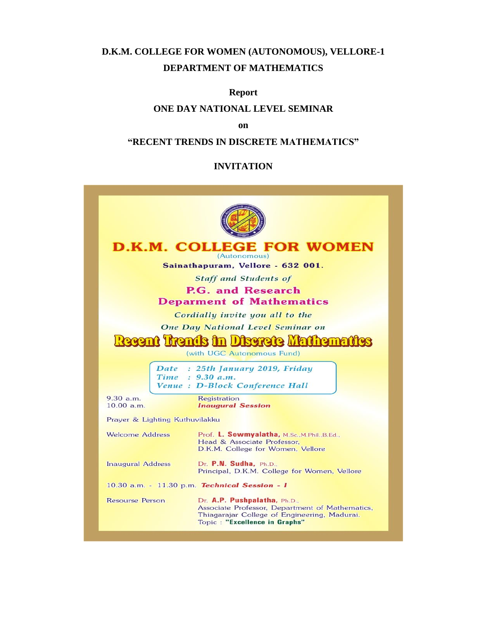# **D.K.M. COLLEGE FOR WOMEN (AUTONOMOUS), VELLORE-1 DEPARTMENT OF MATHEMATICS**

### **Report**

## **ONE DAY NATIONAL LEVEL SEMINAR**

#### **on**

### **"RECENT TRENDS IN DISCRETE MATHEMATICS"**

### **INVITATION**

| <b>D.K.M. COLLEGE FOR WOMEN</b>                                  |                                                                                                                                                                  |  |
|------------------------------------------------------------------|------------------------------------------------------------------------------------------------------------------------------------------------------------------|--|
| (Autonomous)<br>Sainathapuram, Vellore - 632 001.                |                                                                                                                                                                  |  |
|                                                                  |                                                                                                                                                                  |  |
| <b>Staff and Students of</b><br><b>P.G. and Research</b>         |                                                                                                                                                                  |  |
| <b>Deparment of Mathematics</b>                                  |                                                                                                                                                                  |  |
| Cordially invite you all to the                                  |                                                                                                                                                                  |  |
| One Day National Level Seminar on                                |                                                                                                                                                                  |  |
|                                                                  |                                                                                                                                                                  |  |
| Recent Trends in Discrete Mathemat<br>(with UGC Autonomous Fund) |                                                                                                                                                                  |  |
|                                                                  |                                                                                                                                                                  |  |
| Date : 25th January 2019, Friday<br>Time : 9.30 a.m.             |                                                                                                                                                                  |  |
| Venue : D-Block Conference Hall                                  |                                                                                                                                                                  |  |
| 9.30 a.m.<br>10.00 a.m.                                          | Registration                                                                                                                                                     |  |
|                                                                  | <b>Inaugural Session</b>                                                                                                                                         |  |
| Prayer & Lighting Kuthuvilakku                                   |                                                                                                                                                                  |  |
| Welcome Address                                                  | Prof. L. Sowmyalatha, M.Sc., M.Phil., B.Ed.,<br>Head & Associate Professor.                                                                                      |  |
|                                                                  | D.K.M. College for Women, Vellore                                                                                                                                |  |
| <b>Inaugural Address</b>                                         | Dr. P.N. Sudha, Ph.D.<br>Principal, D.K.M. College for Women, Vellore                                                                                            |  |
| 10.30 a.m. - 11.30 p.m. Technical Session - I                    |                                                                                                                                                                  |  |
| Resourse Person                                                  | Dr. A.P. Pushpalatha, Ph.D.,<br>Associate Professor, Department of Mathematics,<br>Thiagarajar College of Engineering, Madurai.<br>Topic: "Excellence in Graphs" |  |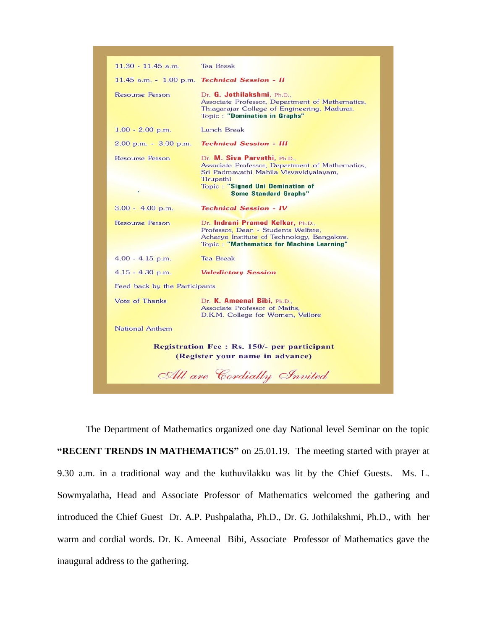| $11.30 - 11.45$ a.m.                                                                  | <b>Tea Break</b>                                                                                                                                                                                                  |  |
|---------------------------------------------------------------------------------------|-------------------------------------------------------------------------------------------------------------------------------------------------------------------------------------------------------------------|--|
|                                                                                       | 11.45 a.m. - 1.00 p.m. Technical Session - II                                                                                                                                                                     |  |
| Resourse Person                                                                       | Dr. G. Jothilakshmi, Ph.D.,<br>Associate Professor, Department of Mathematics,<br>Thiagarajar College of Engineering, Madurai.<br><b>Topic: "Domination in Graphs"</b>                                            |  |
| $1.00 - 2.00$ p.m.                                                                    | Lunch Break                                                                                                                                                                                                       |  |
| $2.00$ p.m. $-3.00$ p.m.                                                              | <b>Technical Session - III</b>                                                                                                                                                                                    |  |
| Resourse Person                                                                       | Dr. M. Siva Parvathi, Ph.D.,<br>Associate Professor, Department of Mathematics,<br>Sri Padmavathi Mahila Visvavidyalayam,<br>Tirupathi<br><b>Topic: "Signed Uni Domination of</b><br><b>Some Standard Graphs"</b> |  |
| $3.00 - 4.00$ p.m.                                                                    | <b>Technical Session - IV</b>                                                                                                                                                                                     |  |
| Resourse Person                                                                       | Dr. Indrani Pramod Kelkar, Ph.D.,<br>Professor, Dean - Students Welfare,<br>Acharya Institute of Technology, Bangalore.<br><b>Topic: "Mathematics for Machine Learning"</b>                                       |  |
| $4.00 - 4.15$ p.m.                                                                    | <b>Tea Break</b>                                                                                                                                                                                                  |  |
| $4.15 - 4.30$ p.m.                                                                    | <b>Valedictory Session</b>                                                                                                                                                                                        |  |
| Feed back by the Participants                                                         |                                                                                                                                                                                                                   |  |
| Vote of Thanks                                                                        | Dr. K. Ameenal Bibi, Ph.D.,<br>Associate Professor of Maths,<br>D.K.M. College for Women, Vellore                                                                                                                 |  |
| National Anthem                                                                       |                                                                                                                                                                                                                   |  |
| <b>Registration Fee: Rs. 150/- per participant</b><br>(Register your name in advance) |                                                                                                                                                                                                                   |  |
| All are Cordially Invited                                                             |                                                                                                                                                                                                                   |  |

 The Department of Mathematics organized one day National level Seminar on the topic **"RECENT TRENDS IN MATHEMATICS"** on 25.01.19. The meeting started with prayer at 9.30 a.m. in a traditional way and the kuthuvilakku was lit by the Chief Guests. Ms. L. Sowmyalatha, Head and Associate Professor of Mathematics welcomed the gathering and introduced the Chief Guest Dr. A.P. Pushpalatha, Ph.D., Dr. G. Jothilakshmi, Ph.D., with her warm and cordial words. Dr. K. Ameenal Bibi, Associate Professor of Mathematics gave the inaugural address to the gathering.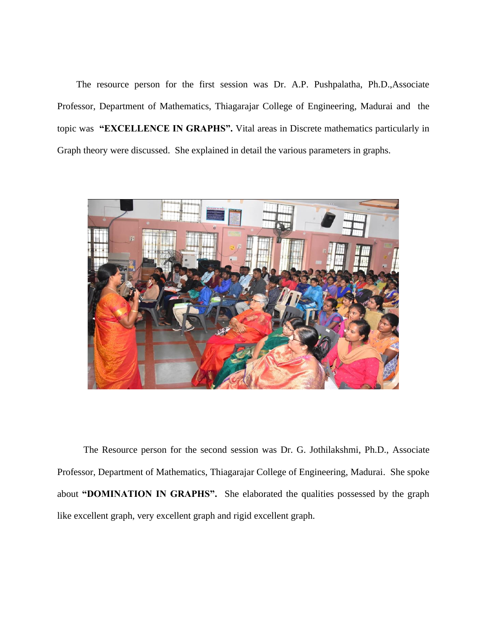The resource person for the first session was Dr. A.P. Pushpalatha, Ph.D.,Associate Professor, Department of Mathematics, Thiagarajar College of Engineering, Madurai and the topic was **"EXCELLENCE IN GRAPHS".** Vital areas in Discrete mathematics particularly in Graph theory were discussed. She explained in detail the various parameters in graphs.



 The Resource person for the second session was Dr. G. Jothilakshmi, Ph.D., Associate Professor, Department of Mathematics, Thiagarajar College of Engineering, Madurai. She spoke about **"DOMINATION IN GRAPHS".** She elaborated the qualities possessed by the graph like excellent graph, very excellent graph and rigid excellent graph.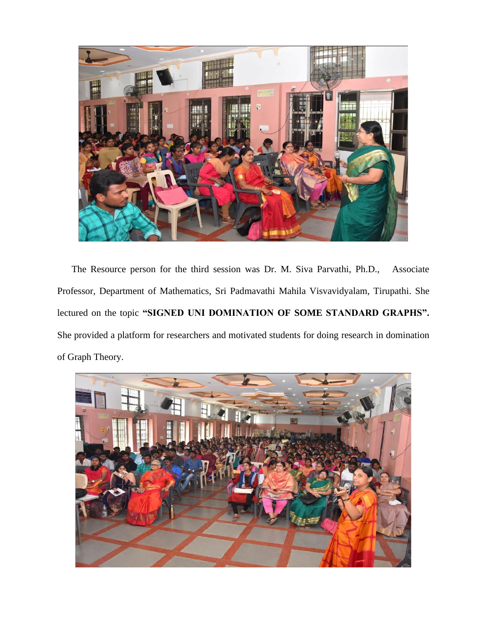

 The Resource person for the third session was Dr. M. Siva Parvathi, Ph.D., Associate Professor, Department of Mathematics, Sri Padmavathi Mahila Visvavidyalam, Tirupathi. She lectured on the topic **"SIGNED UNI DOMINATION OF SOME STANDARD GRAPHS".** She provided a platform for researchers and motivated students for doing research in domination of Graph Theory.